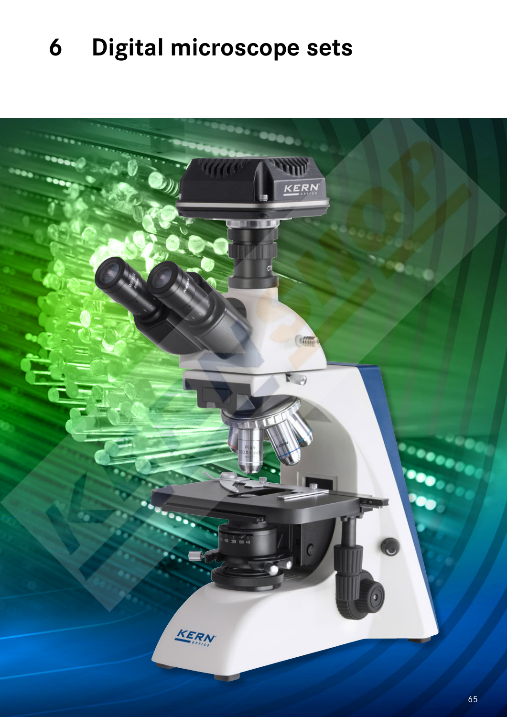# **Digital microscope sets**

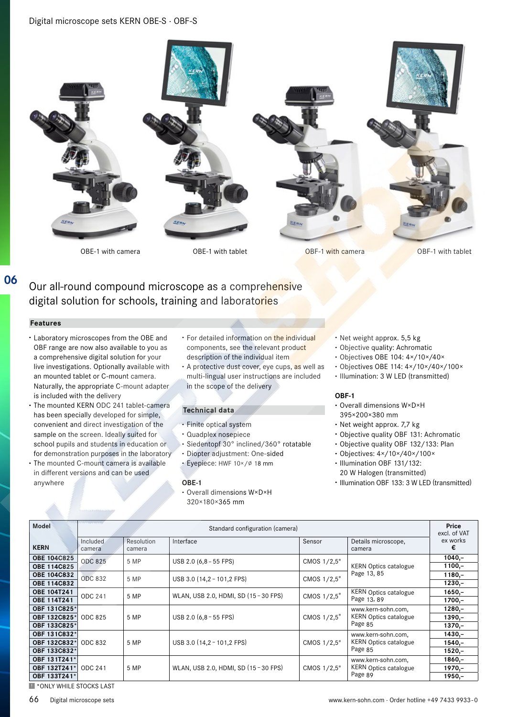# Digital microscope sets KERN OBE-S · OBF-S



OBE-1 with camera OBE-1 with tablet OBF-1 with camera OBE-1 with camera OBE-1 with camera OBE-1 with tablet

# Our all-round compound microscope as a comprehensive digital solution for schools, training and laboratories

#### **Features**

**06**

- **·** Laboratory microscopes from the OBE and OBF range are now also available to you as a comprehensive digital solution for your live investigations. Optionally available with an mounted tablet or C-mount camera. Naturally, the appropriate C-mount adapter is included with the delivery
- **·** The mounted KERN ODC 241 tablet-camera has been specially developed for simple, convenient and direct investigation of the sample on the screen. Ideally suited for school pupils and students in education or for demonstration purposes in the laboratory
- **·** The mounted C-mount camera is available in different versions and can be used anywhere
- **·** For detailed information on the individual components, see the relevant product description of the individual item
- **·** A protective dust cover, eye cups, as well as multi-lingual user instructions are included in the scope of the delivery

#### **Technical data**

- **·** Finite optical system
- **·** Quadplex nosepiece
- **·** Siedentopf 30° inclined/360° rotatable
- **·** Diopter adjustment: One-sided
- **·** Eyepiece: HWF 10×/∅ 18 mm

#### **OBE-1**

**·** Overall dimensions W×D×H 320×180×365 mm

- **·** Net weight approx. 5,5 kg
- **·** Objective quality: Achromatic
- **·** Objectives OBE 104: 4×/10×/40×
- **·** Objectives OBE 114: 4×/10×/40×/100×
- **·** Illumination: 3 W LED (transmitted)

#### **OBF-1**

- **·** Overall dimensions W×D×H 395×200×380 mm
- **·** Net weight approx. 7,7 kg
- **·** Objective quality OBF 131: Achromatic
- **·** Objective quality OBF 132/133: Plan
- **·** Objectives: 4×/10×/40×/100×
- **·** Illumination OBF 131/132: 20 W Halogen (transmitted)
- **·** Illumination OBF 133: 3 W LED (transmitted)

| <b>Model</b>       | Standard configuration (camera) |                      |                                       |             |                                                               | Price<br>excl. of VAT |
|--------------------|---------------------------------|----------------------|---------------------------------------|-------------|---------------------------------------------------------------|-----------------------|
| <b>KERN</b>        | Included<br>camera              | Resolution<br>camera | Interface                             | Sensor      | Details microscope,<br>camera                                 | ex works              |
| <b>OBE 104C825</b> | <b>ODC 825</b>                  | 5 MP                 | USB 2.0 (6,8 - 55 FPS)                | CMOS 1/2,5" |                                                               | $1040,-$              |
| OBE 114C825        |                                 |                      |                                       |             | <b>KERN Optics catalogue</b>                                  | $1100,-$              |
| OBE 104C832        | ODC 832                         | 5 MP                 | USB 3.0 (14,2 - 101,2 FPS)            | CMOS 1/2,5" | Page 13, 85                                                   | $1180 -$              |
| <b>OBE 114C832</b> |                                 |                      |                                       |             |                                                               | $1230,-$              |
| <b>OBE 104T241</b> | ODC 241                         | 5 MP                 | WLAN, USB 2.0, HDMI, SD (15 - 30 FPS) | CMOS 1/2,5" | <b>KERN Optics catalogue</b><br>Page 13, 89                   | $1650 -$              |
| <b>OBE 114T241</b> |                                 |                      |                                       |             |                                                               | $1700 -$              |
| OBF 131C825*       |                                 |                      |                                       |             | www.kern-sohn.com,                                            | $1280 -$              |
| OBF 132C825*       | ODC 825                         | 5 MP                 | USB 2.0 $(6,8 - 55$ FPS)              | CMOS 1/2,5" | <b>KERN Optics catalogue</b>                                  | $1390 -$              |
| OBF 133C825*       |                                 |                      |                                       |             | Page 85                                                       | $1370 -$              |
| OBF 131C832*       | ODC 832                         | 5 MP                 | USB 3.0 (14,2 - 101,2 FPS)            |             | www.kern-sohn.com,<br><b>KERN Optics catalogue</b><br>Page 85 | $1430 -$              |
| OBF 132C832*       |                                 |                      |                                       | CMOS 1/2,5" |                                                               | 1540,-                |
| OBF 133C832*       |                                 |                      |                                       |             |                                                               | $1520 -$              |
| OBF 131T241*       |                                 |                      |                                       |             | www.kern-sohn.com,                                            | $1860,-$              |
| OBF 132T241*       | ODC 241                         | 5 MP                 | WLAN, USB 2.0, HDMI, SD (15 - 30 FPS) | CMOS 1/2,5" | <b>KERN Optics catalogue</b>                                  | $1970 -$              |
| OBF 133T241*       |                                 |                      |                                       |             | Page 89                                                       | $1950,-$              |

**E** \*ONLY WHILE STOCKS LAST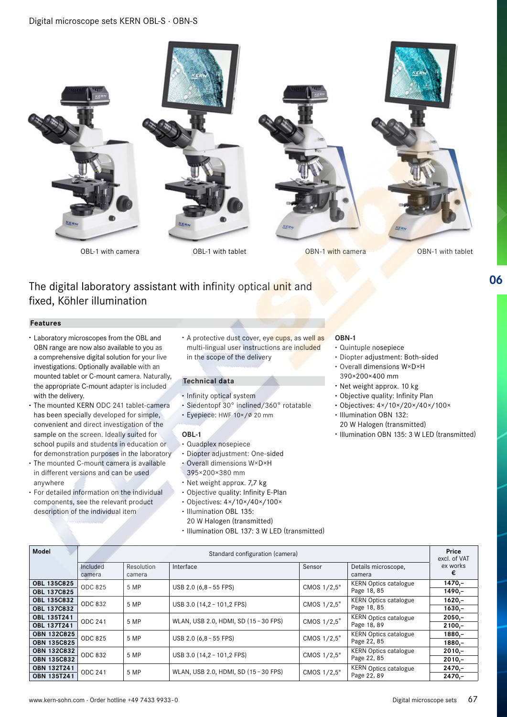

# The digital laboratory assistant with infinity optical unit and fixed, Köhler illumination

# **Features**

- **·** Laboratory microscopes from the OBL and OBN range are now also available to you as a comprehensive digital solution for your live investigations. Optionally available with an mounted tablet or C-mount camera. Naturally, the appropriate C-mount adapter is included with the delivery.
- **·** The mounted KERN ODC 241 tablet-camera has been specially developed for simple, convenient and direct investigation of the sample on the screen. Ideally suited for school pupils and students in education or for demonstration purposes in the laboratory
- **·** The mounted C-mount camera is available in different versions and can be used anywhere
- **·** For detailed information on the individual components, see the relevant product description of the individual item

**·** A protective dust cover, eye cups, as well as multi-lingual user instructions are included in the scope of the delivery

# **Technical data**

- **·** Infinity optical system
- **·** Siedentopf 30° inclined/360° rotatable
- **·** Eyepiece: HWF 10×/∅ 20 mm

# **OBL-1**

- **·** Quadplex nosepiece
- **·** Diopter adjustment: One-sided
- **·** Overall dimensions W×D×H 395×200×380 mm
- **·** Net weight approx. 7,7 kg
- **·** Objective quality: Infinity E-Plan
- **·** Objectives: 4×/10×/40×/100×
- **·** Illumination OBL 135: 20 W Halogen (transmitted) **·** Illumination OBL 137: 3 W LED (transmitted)

#### **OBN-1**

- **·** Quintuple nosepiece
- **·** Diopter adjustment: Both-sided
- **·** Overall dimensions W×D×H 390×200×400 mm
- **·** Net weight approx. 10 kg
- **·** Objective quality: Infinity Plan
- **·** Objectives: 4×/10×/20×/40×/100×
- **·** Illumination OBN 132: 20 W Halogen (transmitted)
- **·** Illumination OBN 135: 3 W LED (transmitted)

**06**

| Model                                    | Standard configuration (camera) |                      |                                       |             |                                             |                      |
|------------------------------------------|---------------------------------|----------------------|---------------------------------------|-------------|---------------------------------------------|----------------------|
|                                          | Included<br>camera              | Resolution<br>camera | Interface                             | Sensor      | Details microscope,<br>camera               | ex works<br>€        |
| <b>OBL 135C825</b><br><b>OBL 137C825</b> | <b>ODC 825</b>                  | 5 MP                 | USB 2.0 (6,8 - 55 FPS)                | CMOS 1/2,5" | <b>KERN Optics catalogue</b><br>Page 18, 85 | $1470,-$<br>$1490,-$ |
| <b>OBL 135C832</b><br><b>OBL 137C832</b> | ODC 832                         | 5 MP                 | USB 3.0 (14,2 - 101,2 FPS)            | CMOS 1/2,5" | <b>KERN Optics catalogue</b><br>Page 18, 85 | $1620 -$<br>$1630,-$ |
| OBL 135T241<br>OBL 137T241               | ODC 241                         | 5 MP                 | WLAN, USB 2.0, HDMI, SD (15 - 30 FPS) | CMOS 1/2,5" | <b>KERN Optics catalogue</b><br>Page 18, 89 | $2050,-$<br>$2100 -$ |
| <b>OBN 132C825</b>                       | ODC 825                         | 5 MP                 | $USB 2.0 (6.8 - 55 FPS)$              | CMOS 1/2,5" | <b>KERN Optics catalogue</b><br>Page 22, 85 | $1880 -$             |
| <b>OBN 135C825</b><br><b>OBN 132C832</b> | ODC 832                         | 5 MP                 | USB 3.0 (14,2 - 101,2 FPS)            | CMOS 1/2,5" | <b>KERN Optics catalogue</b>                | $1880,-$<br>$2010,-$ |
| <b>OBN 135C832</b><br><b>OBN 132T241</b> | ODC 241                         |                      |                                       |             | Page 22, 85<br>KERN Optics catalogue        | $2010,-$<br>$2470,-$ |
| <b>OBN 135T241</b>                       |                                 | 5 MP                 | WLAN, USB 2.0, HDMI, SD (15 - 30 FPS) | CMOS 1/2,5" | Page 22, 89                                 | $2470 -$             |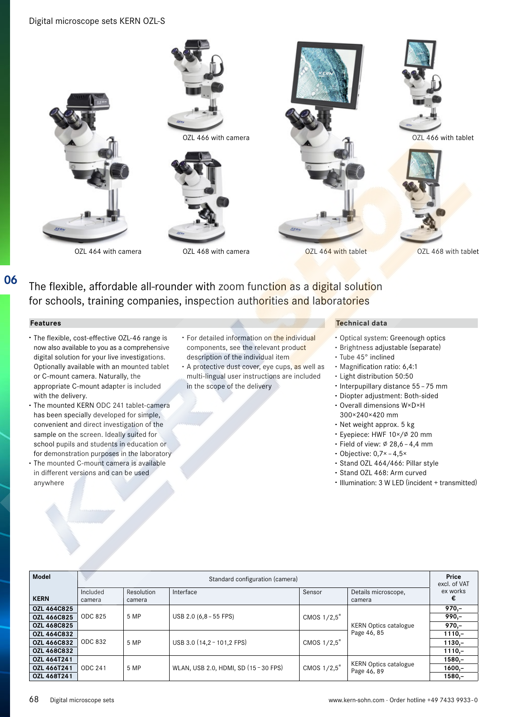

The flexible, affordable all-rounder with zoom function as a digital solution for schools, training companies, inspection authorities and laboratories

# **Features**

**06**

- **·** The flexible, cost-effective OZL-46 range is now also available to you as a comprehensive digital solution for your live investigations. Optionally available with an mounted tablet or C-mount camera. Naturally, the appropriate C-mount adapter is included with the delivery.
- **·** The mounted KERN ODC 241 tablet-camera has been specially developed for simple, convenient and direct investigation of the sample on the screen. Ideally suited for school pupils and students in education or for demonstration purposes in the laboratory
- **·** The mounted C-mount camera is available in different versions and can be used anywhere
- **·** For detailed information on the individual components, see the relevant product description of the individual item
- **·** A protective dust cover, eye cups, as well as multi-lingual user instructions are included in the scope of the delivery

# **Technical data**

- **·** Optical system: Greenough optics
- **·** Brightness adjustable (separate)
- **·** Tube 45° inclined
- **·** Magnification ratio: 6,4:1
- **·** Light distribution 50:50
- **·** Interpupillary distance 55 – 75 mm
- **·** Diopter adjustment: Both-sided
- **·** Overall dimensions W×D×H 300×240×420 mm
- **·** Net weight approx. 5 kg
- **·** Eyepiece: HWF 10×/∅ 20 mm
- **·** Field of view: ∅ 28,6 – 4,4 mm
- **·** Objective: 0,7× – 4,5×
- **·** Stand OZL 464/466: Pillar style
- **·** Stand OZL 468: Arm curved
- **·** Illumination: 3 W LED (incident + transmitted)

| <b>Model</b>       |                                 |                      |                                       |             |                                             | Price         |
|--------------------|---------------------------------|----------------------|---------------------------------------|-------------|---------------------------------------------|---------------|
|                    | Standard configuration (camera) |                      |                                       |             |                                             |               |
| <b>KERN</b>        | Included<br>camera              | Resolution<br>camera | Interface                             | Sensor      | Details microscope,<br>camera               | ex works<br>€ |
| <b>OZL 464C825</b> | ODC 825                         | 5 MP                 | USB 2.0 (6,8 - 55 FPS)                | CMOS 1/2,5" |                                             | $970 -$       |
| OZL 466C825        |                                 |                      |                                       |             |                                             | $990 -$       |
| OZL 468C825        |                                 |                      |                                       |             | <b>KERN Optics catalogue</b>                | $970 -$       |
| OZL 464C832        | ODC 832                         | 5 MP                 | USB 3.0 (14,2 - 101,2 FPS)            | CMOS 1/2,5" | Page 46, 85                                 | $1110,-$      |
| OZL 466C832        |                                 |                      |                                       |             |                                             | $1130,-$      |
| OZL 468C832        |                                 |                      |                                       |             |                                             | $1110,-$      |
| OZL 464T241        | ODC 241                         | 5 MP                 | WLAN, USB 2.0, HDMI, SD (15 - 30 FPS) |             | <b>KERN Optics catalogue</b><br>Page 46, 89 | $1580,-$      |
| OZL 466T241        |                                 |                      |                                       | CMOS 1/2,5" |                                             | $1600,-$      |
| OZL 468T241        |                                 |                      |                                       |             |                                             | $1580 -$      |